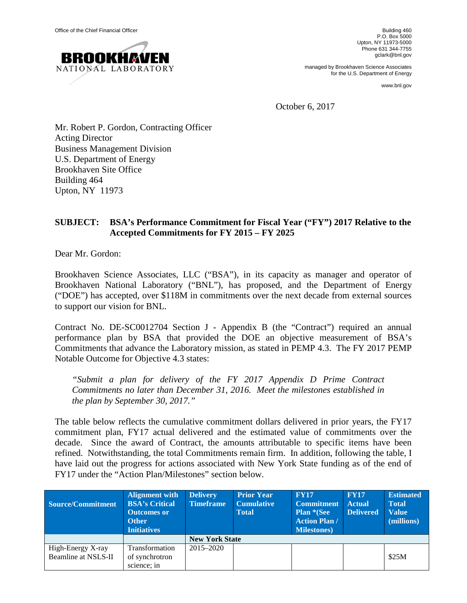

P.O. Box 5000 Upton, NY 11973-5000 Phone 631 344-7755 gclark@bnl.gov

managed by Brookhaven Science Associates for the U.S. Department of Energy

www.bnl.gov

October 6, 2017

Mr. Robert P. Gordon, Contracting Officer Acting Director Business Management Division U.S. Department of Energy Brookhaven Site Office Building 464 Upton, NY 11973

## **SUBJECT: BSA's Performance Commitment for Fiscal Year ("FY") 2017 Relative to the Accepted Commitments for FY 2015 – FY 2025**

Dear Mr. Gordon:

Brookhaven Science Associates, LLC ("BSA"), in its capacity as manager and operator of Brookhaven National Laboratory ("BNL"), has proposed, and the Department of Energy ("DOE") has accepted, over \$118M in commitments over the next decade from external sources to support our vision for BNL.

Contract No. DE-SC0012704 Section J - Appendix B (the "Contract") required an annual performance plan by BSA that provided the DOE an objective measurement of BSA's Commitments that advance the Laboratory mission, as stated in PEMP 4.3. The FY 2017 PEMP Notable Outcome for Objective 4.3 states:

*"Submit a plan for delivery of the FY 2017 Appendix D Prime Contract Commitments no later than December 31, 2016. Meet the milestones established in the plan by September 30, 2017."*

The table below reflects the cumulative commitment dollars delivered in prior years, the FY17 commitment plan, FY17 actual delivered and the estimated value of commitments over the decade. Since the award of Contract, the amounts attributable to specific items have been refined. Notwithstanding, the total Commitments remain firm. In addition, following the table, I have laid out the progress for actions associated with New York State funding as of the end of FY17 under the "Action Plan/Milestones" section below.

| Source/Commitment   | <b>Alignment with</b><br><b>BSA's Critical</b><br><b>Outcomes or</b><br><b>Other</b><br><b>Initiatives</b> | <b>Delivery</b><br><b>Timeframe</b> | <b>Prior Year</b><br><b>Cumulative</b><br><b>Total</b> | <b>FY17</b><br><b>Commitment</b><br><b>Plan *(See</b><br><b>Action Plan /</b><br><b>Milestones</b> ) | <b>FY17</b><br><b>Actual</b><br><b>Delivered</b> | <b>Estimated</b><br><b>Total</b><br><b>Value</b><br>(millions) |  |  |
|---------------------|------------------------------------------------------------------------------------------------------------|-------------------------------------|--------------------------------------------------------|------------------------------------------------------------------------------------------------------|--------------------------------------------------|----------------------------------------------------------------|--|--|
|                     |                                                                                                            | <b>New York State</b>               |                                                        |                                                                                                      |                                                  |                                                                |  |  |
| High-Energy X-ray   | Transformation                                                                                             | $2015 - 2020$                       |                                                        |                                                                                                      |                                                  |                                                                |  |  |
| Beamline at NSLS-II | of synchrotron                                                                                             |                                     |                                                        |                                                                                                      |                                                  | \$25M                                                          |  |  |
|                     | science: in                                                                                                |                                     |                                                        |                                                                                                      |                                                  |                                                                |  |  |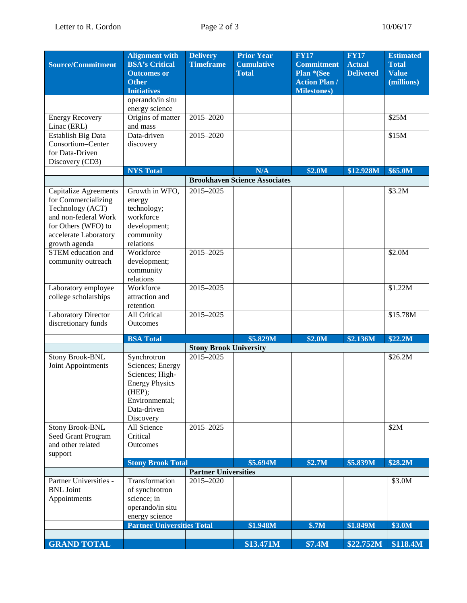| <b>Source/Commitment</b>                       | <b>Alignment with</b><br><b>BSA's Critical</b><br><b>Outcomes or</b> | <b>Delivery</b><br><b>Timeframe</b>      | <b>Prior Year</b><br><b>Cumulative</b><br><b>Total</b> | <b>FY17</b><br><b>Commitment</b><br>Plan *(See | <b>FY17</b><br><b>Actual</b><br><b>Delivered</b> | <b>Estimated</b><br><b>Total</b><br><b>Value</b> |
|------------------------------------------------|----------------------------------------------------------------------|------------------------------------------|--------------------------------------------------------|------------------------------------------------|--------------------------------------------------|--------------------------------------------------|
|                                                | <b>Other</b><br><b>Initiatives</b>                                   |                                          |                                                        | <b>Action Plan /</b><br><b>Milestones</b> )    |                                                  | (millions)                                       |
|                                                | operando/in situ                                                     |                                          |                                                        |                                                |                                                  |                                                  |
|                                                | energy science                                                       |                                          |                                                        |                                                |                                                  |                                                  |
| <b>Energy Recovery</b>                         | Origins of matter                                                    | $2015 - 2020$                            |                                                        |                                                |                                                  | \$25M                                            |
| Linac (ERL)                                    | and mass                                                             |                                          |                                                        |                                                |                                                  |                                                  |
| <b>Establish Big Data</b><br>Consortium-Center | Data-driven                                                          | 2015-2020                                |                                                        |                                                |                                                  | \$15M                                            |
| for Data-Driven                                | discovery                                                            |                                          |                                                        |                                                |                                                  |                                                  |
| Discovery (CD3)                                |                                                                      |                                          |                                                        |                                                |                                                  |                                                  |
|                                                | <b>NYS Total</b>                                                     |                                          | N/A                                                    | \$2.0M                                         | \$12.928M                                        | \$65.0M                                          |
|                                                |                                                                      |                                          | <b>Brookhaven Science Associates</b>                   |                                                |                                                  |                                                  |
| Capitalize Agreements                          | Growth in WFO,                                                       | 2015-2025                                |                                                        |                                                |                                                  | \$3.2M                                           |
| for Commercializing                            | energy                                                               |                                          |                                                        |                                                |                                                  |                                                  |
| Technology (ACT)                               | technology;                                                          |                                          |                                                        |                                                |                                                  |                                                  |
| and non-federal Work                           | workforce                                                            |                                          |                                                        |                                                |                                                  |                                                  |
| for Others (WFO) to<br>accelerate Laboratory   | development;<br>community                                            |                                          |                                                        |                                                |                                                  |                                                  |
| growth agenda                                  | relations                                                            |                                          |                                                        |                                                |                                                  |                                                  |
| STEM education and                             | Workforce                                                            | 2015-2025                                |                                                        |                                                |                                                  | \$2.0M                                           |
| community outreach                             | development;                                                         |                                          |                                                        |                                                |                                                  |                                                  |
|                                                | community                                                            |                                          |                                                        |                                                |                                                  |                                                  |
|                                                | relations                                                            |                                          |                                                        |                                                |                                                  |                                                  |
| Laboratory employee                            | Workforce                                                            | 2015-2025                                |                                                        |                                                |                                                  | \$1.22M                                          |
| college scholarships                           | attraction and<br>retention                                          |                                          |                                                        |                                                |                                                  |                                                  |
| <b>Laboratory Director</b>                     | All Critical                                                         | 2015-2025                                |                                                        |                                                |                                                  | \$15.78M                                         |
| discretionary funds                            | Outcomes                                                             |                                          |                                                        |                                                |                                                  |                                                  |
|                                                |                                                                      |                                          |                                                        |                                                |                                                  |                                                  |
|                                                | <b>BSA Total</b>                                                     | <b>Stony Brook University</b>            | \$5.829M                                               | \$2.0M                                         | \$2.136M                                         | \$22.2M                                          |
| <b>Stony Brook-BNL</b>                         | Synchrotron                                                          | 2015-2025                                |                                                        |                                                |                                                  | \$26.2M                                          |
| Joint Appointments                             | Sciences; Energy                                                     |                                          |                                                        |                                                |                                                  |                                                  |
|                                                | Sciences; High-                                                      |                                          |                                                        |                                                |                                                  |                                                  |
|                                                | <b>Energy Physics</b>                                                |                                          |                                                        |                                                |                                                  |                                                  |
|                                                | (HEP);                                                               |                                          |                                                        |                                                |                                                  |                                                  |
|                                                | Environmental;<br>Data-driven                                        |                                          |                                                        |                                                |                                                  |                                                  |
|                                                | Discovery                                                            |                                          |                                                        |                                                |                                                  |                                                  |
| <b>Stony Brook-BNL</b>                         | All Science                                                          | 2015-2025                                |                                                        |                                                |                                                  | \$2M                                             |
| Seed Grant Program                             | Critical                                                             |                                          |                                                        |                                                |                                                  |                                                  |
| and other related                              | <b>Outcomes</b>                                                      |                                          |                                                        |                                                |                                                  |                                                  |
| support                                        |                                                                      |                                          |                                                        |                                                |                                                  |                                                  |
|                                                | <b>Stony Brook Total</b>                                             |                                          | \$5.694M                                               | \$2.7M                                         | \$5.839M                                         | \$28.2M                                          |
| Partner Universities -                         | Transformation                                                       | <b>Partner Universities</b><br>2015-2020 |                                                        |                                                |                                                  | \$3.0M                                           |
| <b>BNL</b> Joint                               | of synchrotron                                                       |                                          |                                                        |                                                |                                                  |                                                  |
| Appointments                                   | science; in                                                          |                                          |                                                        |                                                |                                                  |                                                  |
|                                                | operando/in situ                                                     |                                          |                                                        |                                                |                                                  |                                                  |
|                                                | energy science                                                       |                                          |                                                        |                                                |                                                  |                                                  |
|                                                | <b>Partner Universities Total</b>                                    |                                          | \$1.948M                                               | \$.7M                                          | \$1.849M                                         | \$3.0M                                           |
|                                                |                                                                      |                                          |                                                        |                                                |                                                  |                                                  |
| <b>GRAND TOTAL</b>                             |                                                                      |                                          | \$13.471M                                              | \$7.4M                                         | \$22.752M                                        | \$118.4M\$                                       |